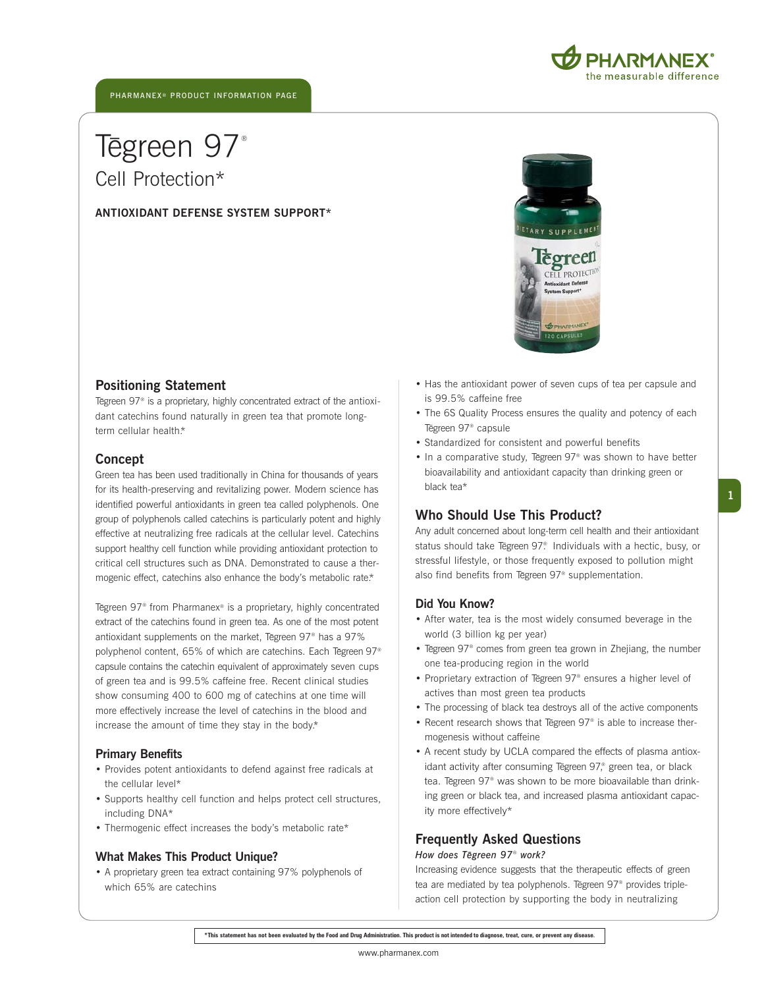



# T  $\overline{a}$ egreen 97® Cell Protection\*

**ANTIOXIDANT DEFENSE SYSTEM SUPPORT\***



## **Positioning Statement**

Tegreen 97<sup>®</sup> is a proprietary, highly concentrated extract of the antioxidant catechins found naturally in green tea that promote longterm cellular health.\*

### **Concept**

Green tea has been used traditionally in China for thousands of years for its health-preserving and revitalizing power. Modern science has identified powerful antioxidants in green tea called polyphenols. One group of polyphenols called catechins is particularly potent and highly effective at neutralizing free radicals at the cellular level. Catechins support healthy cell function while providing antioxidant protection to critical cell structures such as DNA. Demonstrated to cause a thermogenic effect, catechins also enhance the body's metabolic rate.\*

Tegreen 97<sup>®</sup> from Pharmanex® is a proprietary, highly concentrated extract of the catechins found in green tea. As one of the most potent antioxidant supplements on the market, Tegreen 97<sup>®</sup> has a 97% polyphenol content, 65% of which are catechins. Each Tegreen 97<sup>®</sup> capsule contains the catechin equivalent of approximately seven cups of green tea and is 99.5% caffeine free. Recent clinical studies show consuming 400 to 600 mg of catechins at one time will more effectively increase the level of catechins in the blood and increase the amount of time they stay in the body.\*

## **Primary Benefits**

- Provides potent antioxidants to defend against free radicals at the cellular level\*
- Supports healthy cell function and helps protect cell structures, including DNA\*
- Thermogenic effect increases the body's metabolic rate\*

### **What Makes This Product Unique?**

• A proprietary green tea extract containing 97% polyphenols of which 65% are catechins

- Has the antioxidant power of seven cups of tea per capsule and is 99.5% caffeine free
- The 6S Quality Process ensures the quality and potency of each T \_ egreen 97® capsule
- Standardized for consistent and powerful benefits
- In a comparative study, Tegreen 97<sup>®</sup> was shown to have better bioavailability and antioxidant capacity than drinking green or black tea\*

## **Who Should Use This Product?**

Any adult concerned about long-term cell health and their antioxidant status should take Tēgreen 97<sup>®</sup> Individuals with a hectic, busy, or stressful lifestyle, or those frequently exposed to pollution might also find benefits from Tegreen 97<sup>®</sup> supplementation.

### **Did You Know?**

- After water, tea is the most widely consumed beverage in the world (3 billion kg per year)
- Tegreen 97<sup>®</sup> comes from green tea grown in Zhejiang, the number one tea-producing region in the world
- Proprietary extraction of Tegreen 97<sup>®</sup> ensures a higher level of actives than most green tea products
- The processing of black tea destroys all of the active components
- Recent research shows that Tegreen 97<sup>®</sup> is able to increase thermogenesis without caffeine
- A recent study by UCLA compared the effects of plasma antioxidant activity after consuming Tegreen 97,® green tea, or black tea. Tēgreen 97® was shown to be more bioavailable than drinking green or black tea, and increased plasma antioxidant capacity more effectively\*

## **Frequently Asked Questions**

## *How does T \_ egreen 97*® *work?*

Increasing evidence suggests that the therapeutic effects of green tea are mediated by tea polyphenols. Tegreen 97<sup>®</sup> provides tripleaction cell protection by supporting the body in neutralizing

**\*This statement has not been evaluated by the Food and Drug Administration. This product is not intended to diagnose, treat, cure, or prevent any disease.**